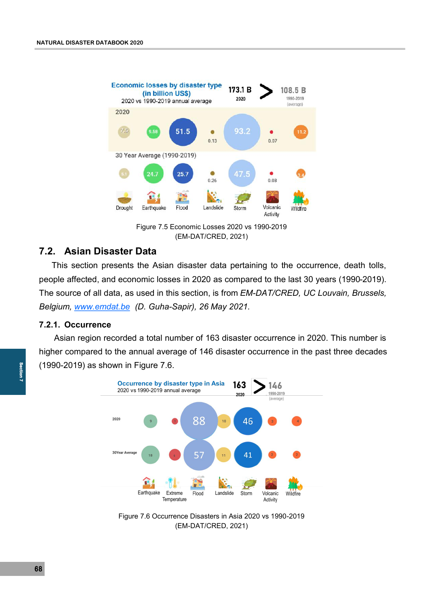

Figure 7.5 Economic Losses 2020 vs 1990-2019 (EM-DAT/CRED, 2021)

# **7.2. Asian Disaster Data**

This section presents the Asian disaster data pertaining to the occurrence, death tolls, people affected, and economic losses in 2020 as compared to the last 30 years (1990-2019). The source of all data, as used in this section, is from *EM-DAT/CRED, UC Louvain, Brussels, Belgium, [www.emdat.be](http://www.emdat.be) (D. Guha-Sapir), 26 May 2021.*

### **7.2.1. Occurrence**

Asian region recorded a total number of 163 disaster occurrence in 2020. This number is higher compared to the annual average of 146 disaster occurrence in the past three decades (1990-2019) as shown in Figure 7.6.



Figure 7.6 Occurrence Disasters in Asia 2020 vs 1990-2019 (EM-DAT/CRED, 2021)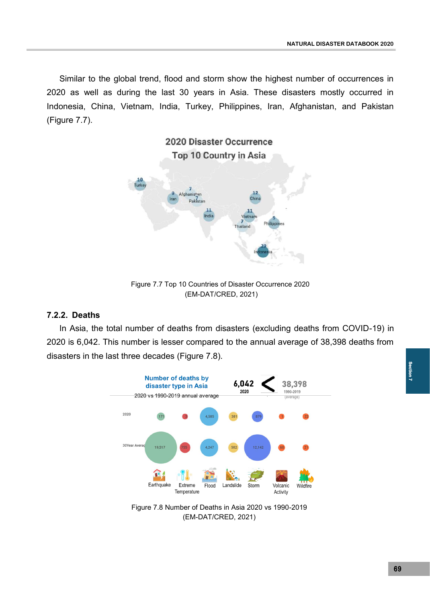Similar to the global trend, flood and storm show the highest number of occurrences in 2020 as well as during the last 30 years in Asia. These disasters mostly occurred in Indonesia, China, Vietnam, India, Turkey, Philippines, Iran, Afghanistan, and Pakistan (Figure 7.7).



Figure 7.7 Top 10 Countries of Disaster Occurrence 2020 (EM-DAT/CRED, 2021)

## **7.2.2. Deaths**

In Asia, the total number of deaths from disasters (excluding deaths from COVID-19) in 2020 is 6,042. This number is lesser compared to the annual average of 38,398 deaths from disasters in the last three decades (Figure 7.8).



Figure 7.8 Number of Deaths in Asia 2020 vs 1990-2019 (EM-DAT/CRED, 2021)